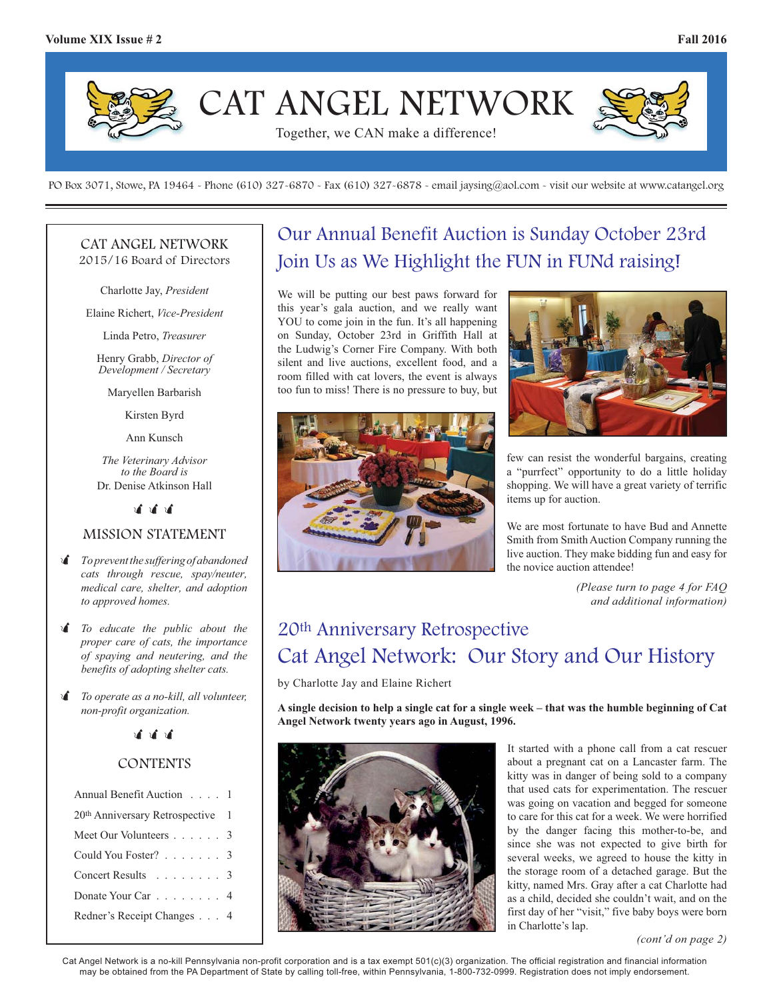

PO Box 3071, Stowe, PA 19464 - Phone (610) 327-6870 - Fax (610) 327-6878 - email jaysing@aol.com - visit our website at www.catangel.org

#### CAT ANGEL NETWORK 2015/16 Board of Directors

Charlotte Jay, *President*

Elaine Richert, *Vice-President*

Linda Petro, *Treasurer*

Henry Grabb, *Director of Development / Secretary*

Maryellen Barbarish

Kirsten Byrd

Ann Kunsch

*The Veterinary Advisor to the Board is*  Dr. Denise Atkinson Hall

> $\mathbf{r}$  $\mathbf{r}$  $\mathbf{r}$

### MISSION STATEMENT

- - *To prevent the suffering of abandoned cats through rescue, spay/neuter, medical care, shelter, and adoption to approved homes.*
- - *To educate the public about the proper care of cats, the importance of spaying and neutering, and the benefits of adopting shelter cats.*
- $\mathbf{r}$  *To operate as a no-kill, all volunteer, non-profit organization.*

.<br>जीवी जी

## **CONTENTS**

| Annual Benefit Auction 1         |  |
|----------------------------------|--|
| 20th Anniversary Retrospective 1 |  |
| Meet Our Volunteers 3            |  |
| Could You Foster? 3              |  |
| Concert Results 3                |  |
| Donate Your Car 4                |  |
| Redner's Receipt Changes 4       |  |

# Our Annual Benefit Auction is Sunday October 23rd Join Us as We Highlight the FUN in FUNd raising!

We will be putting our best paws forward for this year's gala auction, and we really want YOU to come join in the fun. It's all happening on Sunday, October 23rd in Griffith Hall at the Ludwig's Corner Fire Company. With both silent and live auctions, excellent food, and a room filled with cat lovers, the event is always too fun to miss! There is no pressure to buy, but





few can resist the wonderful bargains, creating a "purrfect" opportunity to do a little holiday shopping. We will have a great variety of terrific items up for auction.

We are most fortunate to have Bud and Annette Smith from Smith Auction Company running the live auction. They make bidding fun and easy for the novice auction attendee!

> *(Please turn to page 4 for FAQ and additional information)*

# 20th Anniversary Retrospective Cat Angel Network: Our Story and Our History

by Charlotte Jay and Elaine Richert

**A single decision to help a single cat for a single week – that was the humble beginning of Cat Angel Network twenty years ago in August, 1996.** 



It started with a phone call from a cat rescuer about a pregnant cat on a Lancaster farm. The kitty was in danger of being sold to a company that used cats for experimentation. The rescuer was going on vacation and begged for someone to care for this cat for a week. We were horrified by the danger facing this mother-to-be, and since she was not expected to give birth for several weeks, we agreed to house the kitty in the storage room of a detached garage. But the kitty, named Mrs. Gray after a cat Charlotte had as a child, decided she couldn't wait, and on the first day of her "visit," five baby boys were born in Charlotte's lap.

*(cont'd on page 2)*

Cat Angel Network is a no-kill Pennsylvania non-profit corporation and is a tax exempt 501(c)(3) organization. The official registration and financial information may be obtained from the PA Department of State by calling toll-free, within Pennsylvania, 1-800-732-0999. Registration does not imply endorsement.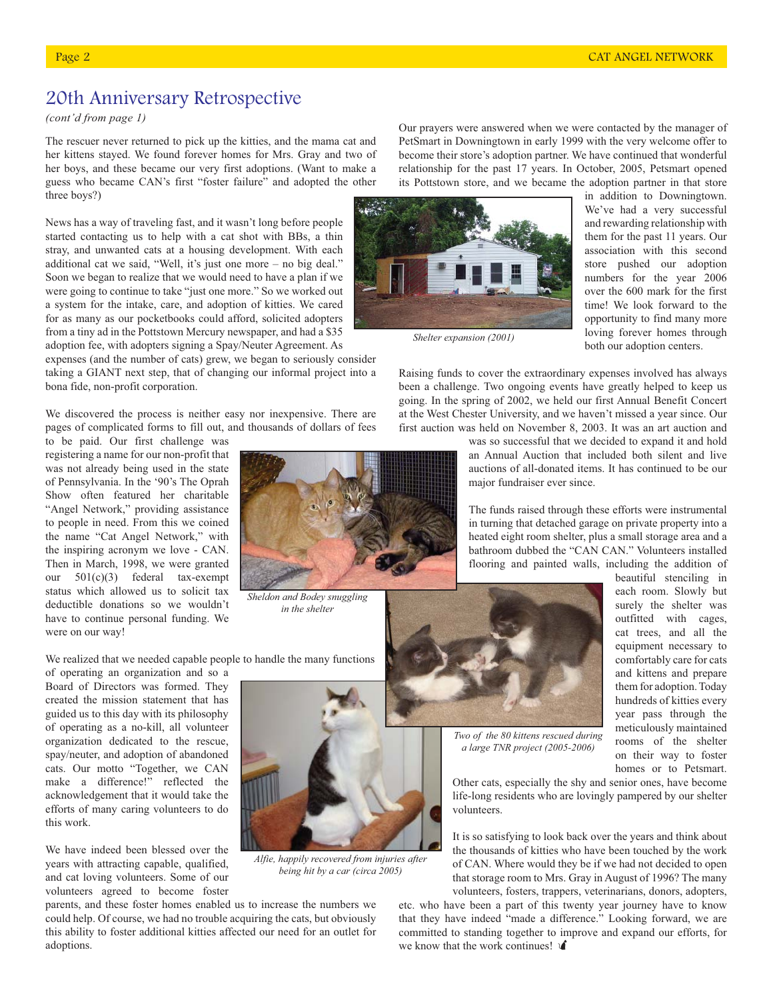# 20th Anniversary Retrospective

*(cont'd from page 1)*

The rescuer never returned to pick up the kitties, and the mama cat and her kittens stayed. We found forever homes for Mrs. Gray and two of her boys, and these became our very first adoptions. (Want to make a guess who became CAN's first "foster failure" and adopted the other three boys?)

News has a way of traveling fast, and it wasn't long before people started contacting us to help with a cat shot with BBs, a thin stray, and unwanted cats at a housing development. With each additional cat we said, "Well, it's just one more – no big deal." Soon we began to realize that we would need to have a plan if we were going to continue to take "just one more." So we worked out a system for the intake, care, and adoption of kitties. We cared for as many as our pocketbooks could afford, solicited adopters from a tiny ad in the Pottstown Mercury newspaper, and had a \$35 adoption fee, with adopters signing a Spay/Neuter Agreement. As

expenses (and the number of cats) grew, we began to seriously consider taking a GIANT next step, that of changing our informal project into a bona fide, non-profit corporation.

We discovered the process is neither easy nor inexpensive. There are pages of complicated forms to fill out, and thousands of dollars of fees

to be paid. Our first challenge was registering a name for our non-profit that was not already being used in the state of Pennsylvania. In the '90's The Oprah Show often featured her charitable "Angel Network," providing assistance to people in need. From this we coined the name "Cat Angel Network," with the inspiring acronym we love - CAN. Then in March, 1998, we were granted our 501(c)(3) federal tax-exempt status which allowed us to solicit tax deductible donations so we wouldn't have to continue personal funding. We were on our way!

We realized that we needed capable people to handle the many functions

of operating an organization and so a Board of Directors was formed. They created the mission statement that has guided us to this day with its philosophy of operating as a no-kill, all volunteer organization dedicated to the rescue, spay/neuter, and adoption of abandoned cats. Our motto "Together, we CAN make a difference!" reflected the acknowledgement that it would take the efforts of many caring volunteers to do this work.

We have indeed been blessed over the years with attracting capable, qualified, and cat loving volunteers. Some of our volunteers agreed to become foster

parents, and these foster homes enabled us to increase the numbers we could help. Of course, we had no trouble acquiring the cats, but obviously this ability to foster additional kitties affected our need for an outlet for adoptions.

Our prayers were answered when we were contacted by the manager of PetSmart in Downingtown in early 1999 with the very welcome offer to become their store's adoption partner. We have continued that wonderful relationship for the past 17 years. In October, 2005, Petsmart opened its Pottstown store, and we became the adoption partner in that store



*Shelter expansion (2001)*

in addition to Downingtown. We've had a very successful and rewarding relationship with them for the past 11 years. Our association with this second store pushed our adoption numbers for the year 2006 over the 600 mark for the first time! We look forward to the opportunity to find many more loving forever homes through both our adoption centers.

Raising funds to cover the extraordinary expenses involved has always been a challenge. Two ongoing events have greatly helped to keep us going. In the spring of 2002, we held our first Annual Benefit Concert at the West Chester University, and we haven't missed a year since. Our first auction was held on November 8, 2003. It was an art auction and

> was so successful that we decided to expand it and hold an Annual Auction that included both silent and live auctions of all-donated items. It has continued to be our major fundraiser ever since.

> The funds raised through these efforts were instrumental in turning that detached garage on private property into a heated eight room shelter, plus a small storage area and a bathroom dubbed the "CAN CAN." Volunteers installed flooring and painted walls, including the addition of

each room. Slowly but surely the shelter was outfitted with cages, cat trees, and all the equipment necessary to comfortably care for cats and kittens and prepare them for adoption. Today hundreds of kitties every year pass through the meticulously maintained rooms of the shelter on their way to foster homes or to Petsmart.

beautiful stenciling in

*Two of the 80 kittens rescued during a large TNR project (2005-2006)*

Other cats, especially the shy and senior ones, have become life-long residents who are lovingly pampered by our shelter volunteers.

It is so satisfying to look back over the years and think about the thousands of kitties who have been touched by the work of CAN. Where would they be if we had not decided to open that storage room to Mrs. Gray in August of 1996? The many volunteers, fosters, trappers, veterinarians, donors, adopters,

etc. who have been a part of this twenty year journey have to know that they have indeed "made a difference." Looking forward, we are committed to standing together to improve and expand our efforts, for we know that the work continues!  $\mathbf{\hat{I}}$ 

*Sheldon and Bodey snuggling* 

*in the shelter*



*Alfie, happily recovered from injuries after being hit by a car (circa 2005)*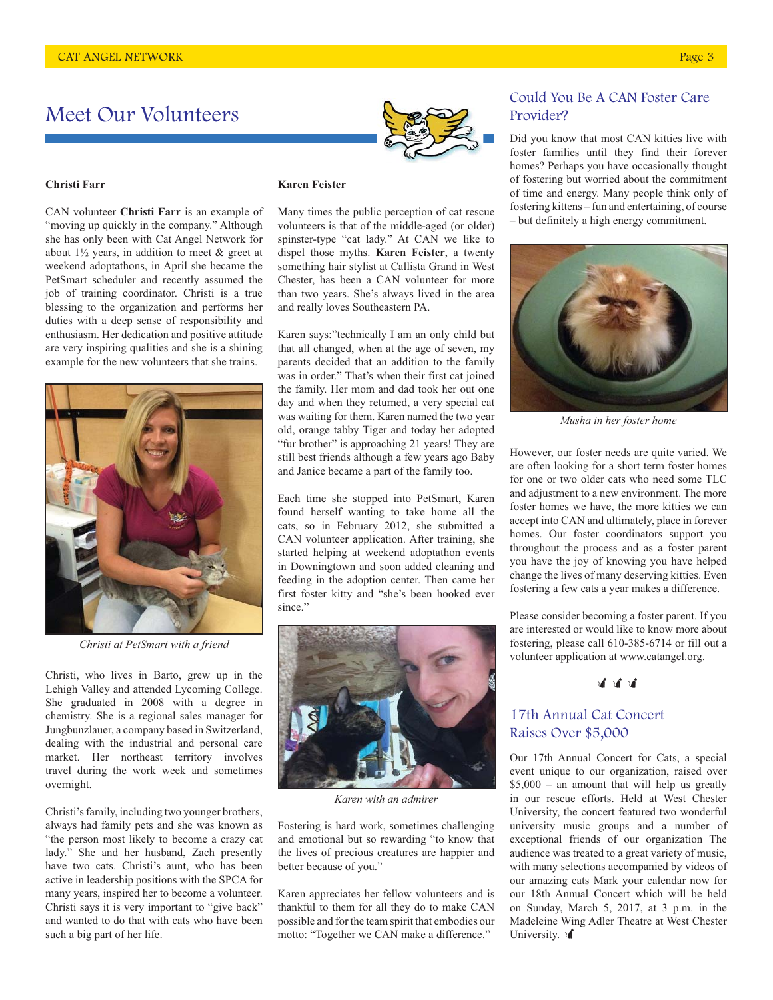# Meet Our Volunteers

#### **Christi Farr**

CAN volunteer **Christi Farr** is an example of "moving up quickly in the company." Although she has only been with Cat Angel Network for about  $1\frac{1}{2}$  years, in addition to meet & greet at weekend adoptathons, in April she became the PetSmart scheduler and recently assumed the job of training coordinator. Christi is a true blessing to the organization and performs her duties with a deep sense of responsibility and enthusiasm. Her dedication and positive attitude are very inspiring qualities and she is a shining example for the new volunteers that she trains.



*Christi at PetSmart with a friend*

Christi, who lives in Barto, grew up in the Lehigh Valley and attended Lycoming College. She graduated in 2008 with a degree in chemistry. She is a regional sales manager for Jungbunzlauer, a company based in Switzerland, dealing with the industrial and personal care market. Her northeast territory involves travel during the work week and sometimes overnight.

Christi's family, including two younger brothers, always had family pets and she was known as "the person most likely to become a crazy cat lady." She and her husband, Zach presently have two cats. Christi's aunt, who has been active in leadership positions with the SPCA for many years, inspired her to become a volunteer. Christi says it is very important to "give back" and wanted to do that with cats who have been such a big part of her life.

#### **Karen Feister**

Many times the public perception of cat rescue volunteers is that of the middle-aged (or older) spinster-type "cat lady." At CAN we like to dispel those myths. **Karen Feister**, a twenty something hair stylist at Callista Grand in West Chester, has been a CAN volunteer for more than two years. She's always lived in the area and really loves Southeastern PA.

Karen says:"technically I am an only child but that all changed, when at the age of seven, my parents decided that an addition to the family was in order." That's when their first cat joined the family. Her mom and dad took her out one day and when they returned, a very special cat was waiting for them. Karen named the two year old, orange tabby Tiger and today her adopted "fur brother" is approaching 21 years! They are still best friends although a few years ago Baby and Janice became a part of the family too.

Each time she stopped into PetSmart, Karen found herself wanting to take home all the cats, so in February 2012, she submitted a CAN volunteer application. After training, she started helping at weekend adoptathon events in Downingtown and soon added cleaning and feeding in the adoption center. Then came her first foster kitty and "she's been hooked ever since."



*Karen with an admirer*

Fostering is hard work, sometimes challenging and emotional but so rewarding "to know that the lives of precious creatures are happier and better because of you."

Karen appreciates her fellow volunteers and is thankful to them for all they do to make CAN possible and for the team spirit that embodies our motto: "Together we CAN make a difference."

### Could You Be A CAN Foster Care Provider?

Did you know that most CAN kitties live with foster families until they find their forever homes? Perhaps you have occasionally thought of fostering but worried about the commitment of time and energy. Many people think only of fostering kittens – fun and entertaining, of course – but definitely a high energy commitment.



*Musha in her foster home*

However, our foster needs are quite varied. We are often looking for a short term foster homes for one or two older cats who need some TLC and adjustment to a new environment. The more foster homes we have, the more kitties we can accept into CAN and ultimately, place in forever homes. Our foster coordinators support you throughout the process and as a foster parent you have the joy of knowing you have helped change the lives of many deserving kitties. Even fostering a few cats a year makes a difference.

Please consider becoming a foster parent. If you are interested or would like to know more about fostering, please call 610-385-6714 or fill out a volunteer application at www.catangel.org.

# **चै चौ चौ**

### 17th Annual Cat Concert Raises Over \$5,000

Our 17th Annual Concert for Cats, a special event unique to our organization, raised over \$5,000 – an amount that will help us greatly in our rescue efforts. Held at West Chester University, the concert featured two wonderful university music groups and a number of exceptional friends of our organization The audience was treated to a great variety of music, with many selections accompanied by videos of our amazing cats Mark your calendar now for our 18th Annual Concert which will be held on Sunday, March 5, 2017, at 3 p.m. in the Madeleine Wing Adler Theatre at West Chester University.